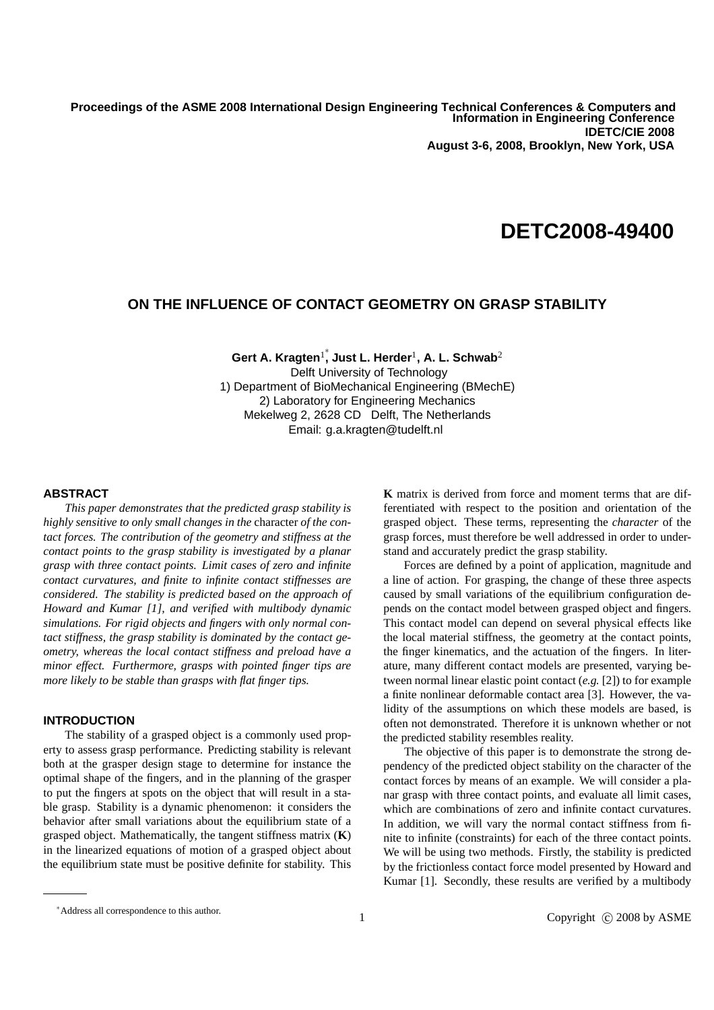**Proceedings of IDETC/CIE 2008 IDETC/CIE 2008 ASME 2008 International Design Engineering Technical Conferences & August 3-6, 2008, Brooklyn, New York, USA Information in Engineering Conference Proceedings of the ASME 2008 International Design Engineering Technical Conferences & Computers and** 

# **DETC2008-49400**

# **ON THE INFLUENCE OF CONTACT GEOMETRY ON GRASP STABILITY**

**Gert A. Kragten**<sup>1</sup> ∗ **, Just L. Herder**<sup>1</sup> **, A. L. Schwab**<sup>2</sup> Delft University of Technology 1) Department of BioMechanical Engineering (BMechE) 2) Laboratory for Engineering Mechanics Mekelweg 2, 2628 CD Delft, The Netherlands Email: g.a.kragten@tudelft.nl

## **ABSTRACT**

*This paper demonstrates that the predicted grasp stability is highly sensitive to only small changes in the* character *of the contact forces. The contribution of the geometry and stiffness at the contact points to the grasp stability is investigated by a planar grasp with three contact points. Limit cases of zero and infinite contact curvatures, and finite to infinite contact stiffnesses are considered. The stability is predicted based on the approach of Howard and Kumar [1], and verified with multibody dynamic simulations. For rigid objects and fingers with only normal contact stiffness, the grasp stability is dominated by the contact geometry, whereas the local contact stiffness and preload have a minor effect. Furthermore, grasps with pointed finger tips are more likely to be stable than grasps with flat finger tips.*

# **INTRODUCTION**

The stability of a grasped object is a commonly used property to assess grasp performance. Predicting stability is relevant both at the grasper design stage to determine for instance the optimal shape of the fingers, and in the planning of the grasper to put the fingers at spots on the object that will result in a stable grasp. Stability is a dynamic phenomenon: it considers the behavior after small variations about the equilibrium state of a grasped object. Mathematically, the tangent stiffness matrix (**K**) in the linearized equations of motion of a grasped object about the equilibrium state must be positive definite for stability. This **K** matrix is derived from force and moment terms that are differentiated with respect to the position and orientation of the grasped object. These terms, representing the *character* of the grasp forces, must therefore be well addressed in order to understand and accurately predict the grasp stability.

Forces are defined by a point of application, magnitude and a line of action. For grasping, the change of these three aspects caused by small variations of the equilibrium configuration depends on the contact model between grasped object and fingers. This contact model can depend on several physical effects like the local material stiffness, the geometry at the contact points, the finger kinematics, and the actuation of the fingers. In literature, many different contact models are presented, varying between normal linear elastic point contact (*e.g.* [2]) to for example a finite nonlinear deformable contact area [3]. However, the validity of the assumptions on which these models are based, is often not demonstrated. Therefore it is unknown whether or not the predicted stability resembles reality.

The objective of this paper is to demonstrate the strong dependency of the predicted object stability on the character of the contact forces by means of an example. We will consider a planar grasp with three contact points, and evaluate all limit cases, which are combinations of zero and infinite contact curvatures. In addition, we will vary the normal contact stiffness from finite to infinite (constraints) for each of the three contact points. We will be using two methods. Firstly, the stability is predicted by the frictionless contact force model presented by Howard and Kumar [1]. Secondly, these results are verified by a multibody

<sup>∗</sup>Address all correspondence to this author.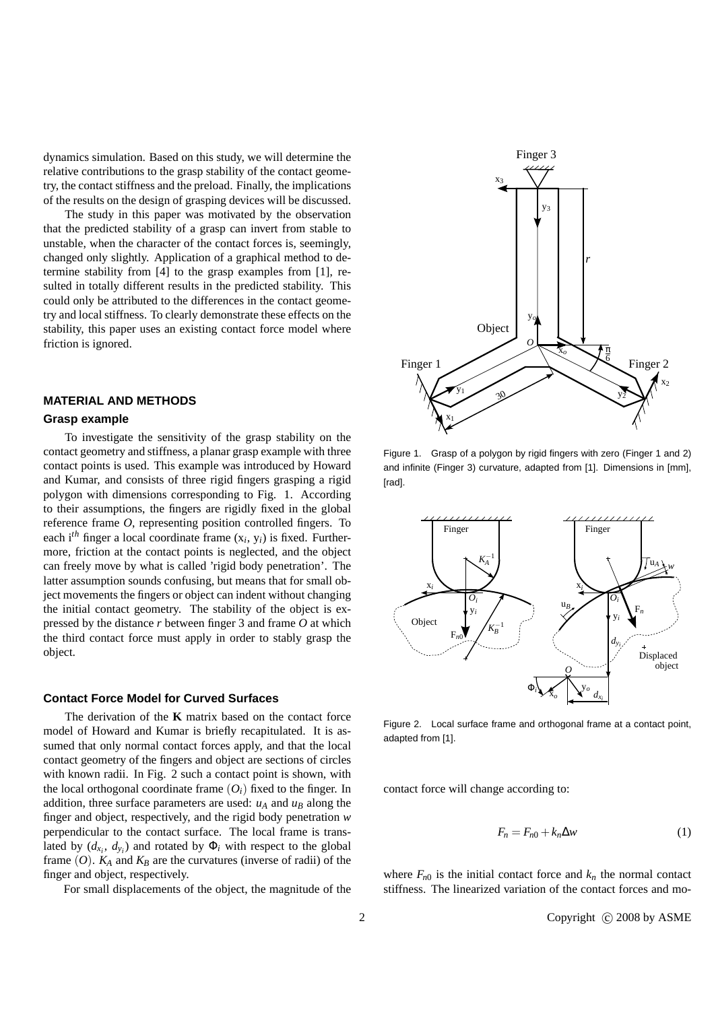dynamics simulation. Based on this study, we will determine the relative contributions to the grasp stability of the contact geometry, the contact stiffness and the preload. Finally, the implications of the results on the design of grasping devices will be discussed.

The study in this paper was motivated by the observation that the predicted stability of a grasp can invert from stable to unstable, when the character of the contact forces is, seemingly, changed only slightly. Application of a graphical method to determine stability from [4] to the grasp examples from [1], resulted in totally different results in the predicted stability. This could only be attributed to the differences in the contact geometry and local stiffness. To clearly demonstrate these effects on the stability, this paper uses an existing contact force model where friction is ignored.

# **MATERIAL AND METHODS**

## **Grasp example**

To investigate the sensitivity of the grasp stability on the contact geometry and stiffness, a planar grasp example with three contact points is used. This example was introduced by Howard and Kumar, and consists of three rigid fingers grasping a rigid polygon with dimensions corresponding to Fig. 1. According to their assumptions, the fingers are rigidly fixed in the global reference frame *O*, representing position controlled fingers. To each i*th* finger a local coordinate frame (x*<sup>i</sup>* , y*i*) is fixed. Furthermore, friction at the contact points is neglected, and the object can freely move by what is called 'rigid body penetration'. The latter assumption sounds confusing, but means that for small object movements the fingers or object can indent without changing the initial contact geometry. The stability of the object is expressed by the distance *r* between finger 3 and frame *O* at which the third contact force must apply in order to stably grasp the object.

## **Contact Force Model for Curved Surfaces**

The derivation of the **K** matrix based on the contact force model of Howard and Kumar is briefly recapitulated. It is assumed that only normal contact forces apply, and that the local contact geometry of the fingers and object are sections of circles with known radii. In Fig. 2 such a contact point is shown, with the local orthogonal coordinate frame  $(O_i)$  fixed to the finger. In addition, three surface parameters are used:  $u_A$  and  $u_B$  along the finger and object, respectively, and the rigid body penetration *w* perpendicular to the contact surface. The local frame is translated by  $(d_{x_i}, d_{y_i})$  and rotated by  $\Phi_i$  with respect to the global frame  $(O)$ .  $K_A$  and  $K_B$  are the curvatures (inverse of radii) of the finger and object, respectively.

For small displacements of the object, the magnitude of the



Figure 1. Grasp of a polygon by rigid fingers with zero (Finger 1 and 2) and infinite (Finger 3) curvature, adapted from [1]. Dimensions in [mm], [rad].



Figure 2. Local surface frame and orthogonal frame at a contact point, adapted from [1].

contact force will change according to:

$$
F_n = F_{n0} + k_n \Delta w \tag{1}
$$

where  $F_{n0}$  is the initial contact force and  $k_n$  the normal contact stiffness. The linearized variation of the contact forces and mo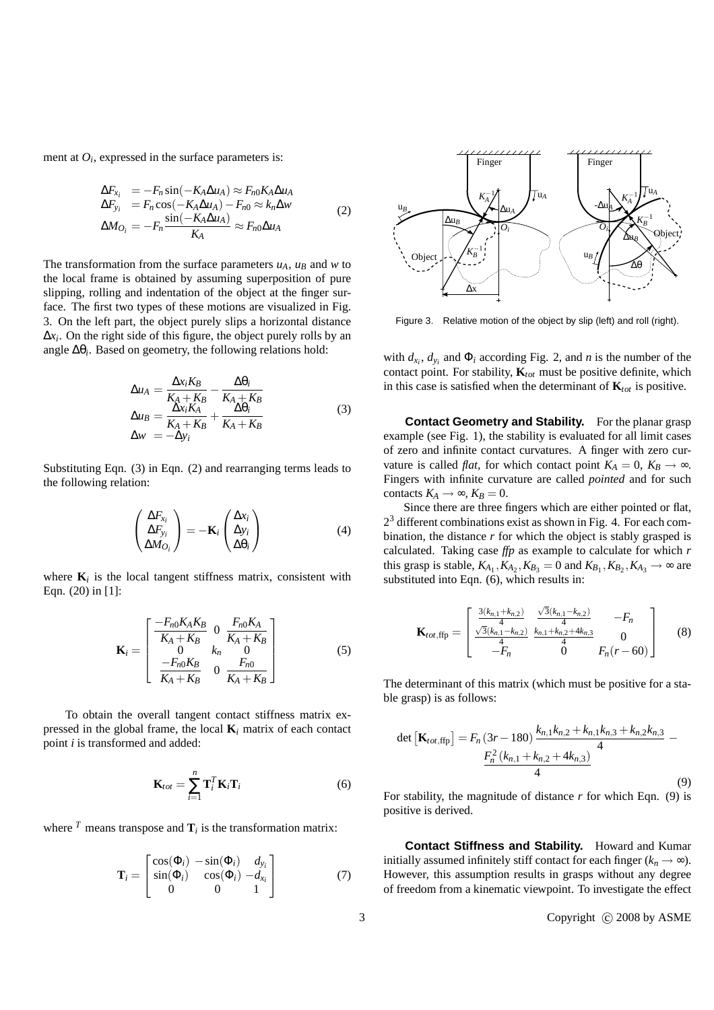ment at  $O_i$ , expressed in the surface parameters is:

$$
\Delta F_{x_i} = -F_n \sin(-K_A \Delta u_A) \approx F_{n0} K_A \Delta u_A \n\Delta F_{y_i} = F_n \cos(-K_A \Delta u_A) - F_{n0} \approx k_n \Delta w \n\Delta M_{O_i} = -F_n \frac{\sin(-K_A \Delta u_A)}{K_A} \approx F_{n0} \Delta u_A
$$
\n(2)

The transformation from the surface parameters  $u_A$ ,  $u_B$  and  $w$  to the local frame is obtained by assuming superposition of pure slipping, rolling and indentation of the object at the finger surface. The first two types of these motions are visualized in Fig. 3. On the left part, the object purely slips a horizontal distance ∆*x<sup>i</sup>* . On the right side of this figure, the object purely rolls by an angle ∆θ*<sup>i</sup>* . Based on geometry, the following relations hold:

$$
\Delta u_A = \frac{\Delta x_i K_B}{K_A + K_B} - \frac{\Delta \theta_i}{K_A + K_B}
$$
  
\n
$$
\Delta u_B = \frac{\Delta x_i K_A}{K_A + K_B} + \frac{\Delta \theta_i}{K_A + K_B}
$$
  
\n
$$
\Delta w = -\Delta y_i
$$
\n(3)

Substituting Eqn. (3) in Eqn. (2) and rearranging terms leads to the following relation:

$$
\begin{pmatrix}\n\Delta F_{x_i} \\
\Delta F_{y_i} \\
\Delta M_{O_i}\n\end{pmatrix} = -\mathbf{K}_i \begin{pmatrix}\n\Delta x_i \\
\Delta y_i \\
\Delta \theta_i\n\end{pmatrix}
$$
\n(4)

where  $\mathbf{K}_i$  is the local tangent stiffness matrix, consistent with Eqn. (20) in [1]:

$$
\mathbf{K}_{i} = \begin{bmatrix} \frac{-F_{n0}K_{A}K_{B}}{K_{A}+K_{B}} & 0 & \frac{F_{n0}K_{A}}{K_{A}+K_{B}}\\ 0 & k_{n} & 0\\ \frac{-F_{n0}K_{B}}{K_{A}+K_{B}} & 0 & \frac{F_{n0}}{K_{A}+K_{B}} \end{bmatrix}
$$
(5)

To obtain the overall tangent contact stiffness matrix expressed in the global frame, the local **K***<sup>i</sup>* matrix of each contact point *i* is transformed and added:

$$
\mathbf{K}_{tot} = \sum_{i=1}^{n} \mathbf{T}_i^T \mathbf{K}_i \mathbf{T}_i
$$
 (6)

where  $^T$  means transpose and  $\mathbf{T}_i$  is the transformation matrix:

$$
\mathbf{T}_i = \begin{bmatrix} \cos(\Phi_i) & -\sin(\Phi_i) & d_{y_i} \\ \sin(\Phi_i) & \cos(\Phi_i) & -d_{x_i} \\ 0 & 0 & 1 \end{bmatrix}
$$
 (7)



Figure 3. Relative motion of the object by slip (left) and roll (right).

with  $d_{x_i}$ ,  $d_{y_i}$  and  $\Phi_i$  according Fig. 2, and *n* is the number of the contact point. For stability, **K***tot* must be positive definite, which in this case is satisfied when the determinant of  $\mathbf{K}_{tot}$  is positive.

**Contact Geometry and Stability.** For the planar grasp example (see Fig. 1), the stability is evaluated for all limit cases of zero and infinite contact curvatures. A finger with zero curvature is called *flat*, for which contact point  $K_A = 0$ ,  $K_B \rightarrow \infty$ . Fingers with infinite curvature are called *pointed* and for such contacts  $K_A \rightarrow \infty$ ,  $K_B = 0$ .

Since there are three fingers which are either pointed or flat,  $2<sup>3</sup>$  different combinations exist as shown in Fig. 4. For each combination, the distance *r* for which the object is stably grasped is calculated. Taking case *ffp* as example to calculate for which *r* this grasp is stable,  $K_{A_1}, K_{A_2}, K_{B_3} = 0$  and  $K_{B_1}, K_{B_2}, K_{A_3} \rightarrow \infty$  are substituted into Eqn. (6), which results in:

$$
\mathbf{K}_{tot,ffp} = \begin{bmatrix} \frac{3(k_{n,1}+k_{n,2})}{4} & \frac{\sqrt{3}(k_{n,1}-k_{n,2})}{4} & -F_n \\ \frac{\sqrt{3}(k_{n,1}-k_{n,2})}{4} & \frac{k_{n,1}+k_{n,2}+4k_{n,3}}{4} & 0 \\ -F_n & 0 & F_n(r-60) \end{bmatrix}
$$
(8)

The determinant of this matrix (which must be positive for a stable grasp) is as follows:

$$
\det\left[\mathbf{K}_{tot,ffp}\right] = F_n(3r - 180) \frac{k_{n,1}k_{n,2} + k_{n,1}k_{n,3} + k_{n,2}k_{n,3}}{4} - \frac{F_n^2(k_{n,1} + k_{n,2} + 4k_{n,3})}{4}
$$
(9)

For stability, the magnitude of distance *r* for which Eqn. (9) is positive is derived.

**Contact Stiffness and Stability.** Howard and Kumar initially assumed infinitely stiff contact for each finger  $(k_n \rightarrow \infty)$ . However, this assumption results in grasps without any degree of freedom from a kinematic viewpoint. To investigate the effect

3 Copyright © 2008 by ASME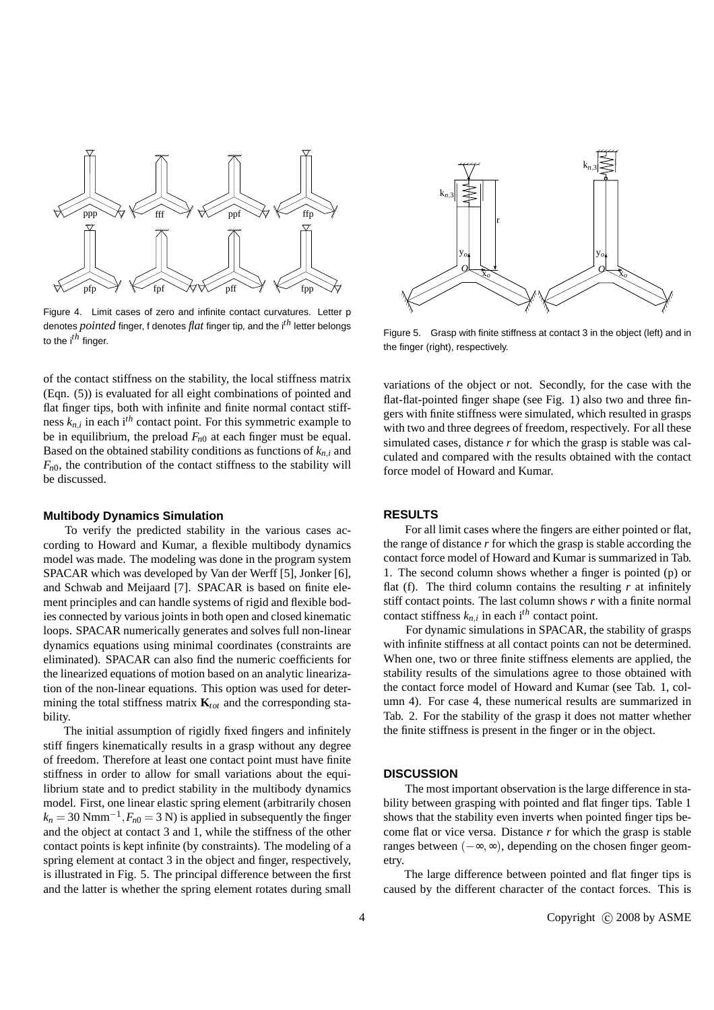

Figure 4. Limit cases of zero and infinite contact curvatures. Letter p denotes *pointed* finger, f denotes *flat* finger tip, and the i*th* letter belongs to the i*th* finger.

of the contact stiffness on the stability, the local stiffness matrix (Eqn. (5)) is evaluated for all eight combinations of pointed and flat finger tips, both with infinite and finite normal contact stiffness  $k_{n,i}$  in each i<sup>th</sup> contact point. For this symmetric example to be in equilibrium, the preload *Fn*<sup>0</sup> at each finger must be equal. Based on the obtained stability conditions as functions of  $k_{n,i}$  and  $F_{n0}$ , the contribution of the contact stiffness to the stability will be discussed.

#### **Multibody Dynamics Simulation**

To verify the predicted stability in the various cases according to Howard and Kumar, a flexible multibody dynamics model was made. The modeling was done in the program system SPACAR which was developed by Van der Werff [5], Jonker [6], and Schwab and Meijaard [7]. SPACAR is based on finite element principles and can handle systems of rigid and flexible bodies connected by various joints in both open and closed kinematic loops. SPACAR numerically generates and solves full non-linear dynamics equations using minimal coordinates (constraints are eliminated). SPACAR can also find the numeric coefficients for the linearized equations of motion based on an analytic linearization of the non-linear equations. This option was used for determining the total stiffness matrix  $\mathbf{K}_{tot}$  and the corresponding stability.

The initial assumption of rigidly fixed fingers and infinitely stiff fingers kinematically results in a grasp without any degree of freedom. Therefore at least one contact point must have finite stiffness in order to allow for small variations about the equilibrium state and to predict stability in the multibody dynamics model. First, one linear elastic spring element (arbitrarily chosen  $k_n = 30$  Nmm<sup>-1</sup>,  $F_{n0} = 3$  N) is applied in subsequently the finger and the object at contact 3 and 1, while the stiffness of the other contact points is kept infinite (by constraints). The modeling of a spring element at contact 3 in the object and finger, respectively, is illustrated in Fig. 5. The principal difference between the first and the latter is whether the spring element rotates during small



Figure 5. Grasp with finite stiffness at contact 3 in the object (left) and in the finger (right), respectively.

variations of the object or not. Secondly, for the case with the flat-flat-pointed finger shape (see Fig. 1) also two and three fingers with finite stiffness were simulated, which resulted in grasps with two and three degrees of freedom, respectively. For all these simulated cases, distance *r* for which the grasp is stable was calculated and compared with the results obtained with the contact force model of Howard and Kumar.

# **RESULTS**

For all limit cases where the fingers are either pointed or flat, the range of distance *r* for which the grasp is stable according the contact force model of Howard and Kumar is summarized in Tab. 1. The second column shows whether a finger is pointed (p) or flat (f). The third column contains the resulting  $r$  at infinitely stiff contact points. The last column shows *r* with a finite normal contact stiffness  $k_{n,i}$  in each i<sup>th</sup> contact point.

For dynamic simulations in SPACAR, the stability of grasps with infinite stiffness at all contact points can not be determined. When one, two or three finite stiffness elements are applied, the stability results of the simulations agree to those obtained with the contact force model of Howard and Kumar (see Tab. 1, column 4). For case 4, these numerical results are summarized in Tab. 2. For the stability of the grasp it does not matter whether the finite stiffness is present in the finger or in the object.

#### **DISCUSSION**

The most important observation is the large difference in stability between grasping with pointed and flat finger tips. Table 1 shows that the stability even inverts when pointed finger tips become flat or vice versa. Distance *r* for which the grasp is stable ranges between (−∞,∞), depending on the chosen finger geometry.

The large difference between pointed and flat finger tips is caused by the different character of the contact forces. This is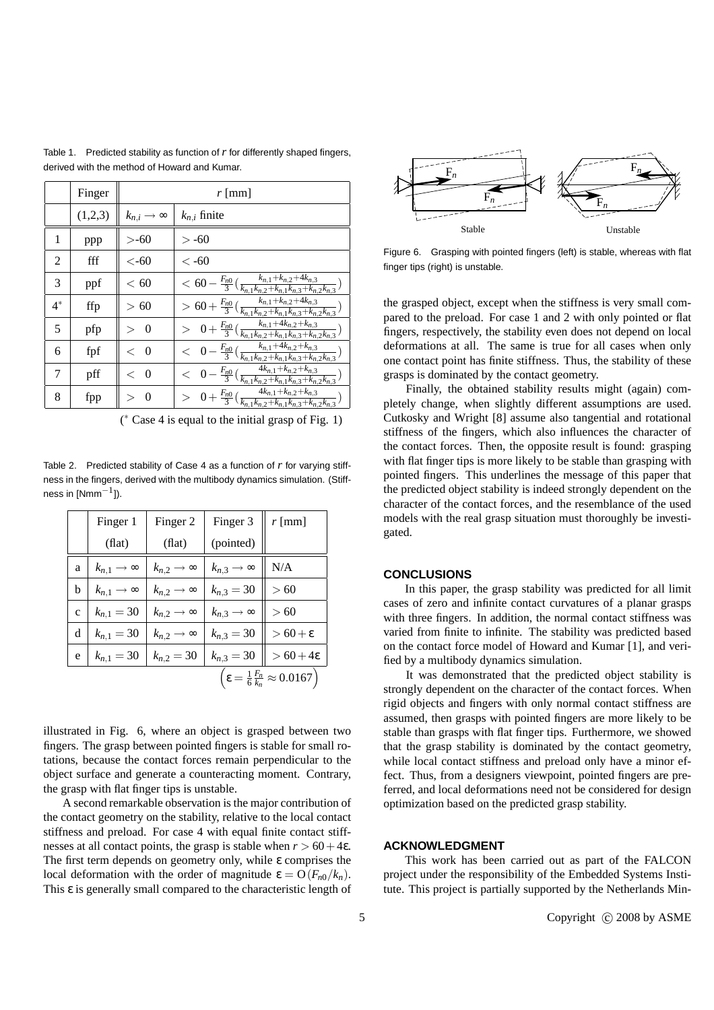|       | Finger  | r [mm]                     |                                                                                                                                                        |  |
|-------|---------|----------------------------|--------------------------------------------------------------------------------------------------------------------------------------------------------|--|
|       | (1,2,3) | $k_{n,i}\rightarrow\infty$ | $k_{n,i}$ finite                                                                                                                                       |  |
| 1     | ppp     | $>$ -60                    | $>$ -60                                                                                                                                                |  |
| 2     | fff     | $<$ -60                    | $< -60$                                                                                                                                                |  |
| 3     | ppf     | < 60                       | $< 60 - \frac{F_{n0}}{3}(\frac{k_{n,1}+k_{n,2}+4k_{n,3}}{k_{n,1}k_{n,2}+k_{n,1}k_{n,3}+k_{n,2}k_{n,3}})$                                               |  |
| $4^*$ | ffp     | >60                        | $> 60 + \frac{F_{n0}}{3} \left( \frac{k_{n,1} + k_{n,2} + 4k_{n,3}}{k_{n,1}k_{n,2} + k_{n,1}k_{n,3} + k_{n,2}k_{n,3}} \right)$                         |  |
| 5     | pfp     | $\theta$                   | $\frac{1}{2} \left( 0 + \frac{F_{n0}}{3} \left( \frac{k_{n,1} + 4k_{n,2} + k_{n,3}}{k_{n,1}k_{n,2} + k_{n,1}k_{n,3} + k_{n,2}k_{n,3}} \right) \right)$ |  |
| 6     | fpf     | $\lt$ 0                    | $<$ $0 - \frac{F_{n0}}{3}(\frac{k_{n,1}+4k_{n,2}+k_{n,3}}{k_{n,1}k_{n,2}+k_{n,1}k_{n,3}+k_{n,2}k_{n,3}})$                                              |  |
| 7     | pff     | $\lt$ 0                    | $<$ $0 - \frac{F_{n0}}{3}(\frac{4k_{n,1}+k_{n,2}+k_{n,3}}{k_{n,1}k_{n,2}+k_{n,1}k_{n,3}+k_{n,2}k_{n,3}})$                                              |  |
| 8     | fpp     | $\Omega$                   | $> 0 + \frac{F_{n0}}{3} \left( \frac{4k_{n,1} + k_{n,2} + k_{n,3}}{k_{n,1}k_{n,2} + k_{n,1}k_{n,3} + k_{n,2}k_{n,3}} \right)$                          |  |

Table 1. Predicted stability as function of *r* for differently shaped fingers, derived with the method of Howard and Kumar.

( ∗ Case 4 is equal to the initial grasp of Fig. 1)

Table 2. Predicted stability of Case 4 as a function of *r* for varying stiffness in the fingers, derived with the multibody dynamics simulation. (Stiffness in [Nmm $^{\rm -1}$ ]).

|                                                                     | Finger 1                     | Finger 2                     | Finger 3                     | $r$ [mm]              |  |  |
|---------------------------------------------------------------------|------------------------------|------------------------------|------------------------------|-----------------------|--|--|
|                                                                     | (flat)                       | (flat)                       | (pointed)                    |                       |  |  |
| a                                                                   | $k_{n,1} \rightarrow \infty$ | $k_{n,2}\rightarrow\infty$   | $k_{n,3} \rightarrow \infty$ | N/A                   |  |  |
| h                                                                   | $k_{n,1} \rightarrow \infty$ | $k_{n,2}\rightarrow\infty$   | $k_{n,3} = 30$               | >60                   |  |  |
| $\mathbf{c}$                                                        | $k_{n,1} = 30$               | $k_{n,2} \rightarrow \infty$ | $k_{n,3} \rightarrow \infty$ | >60                   |  |  |
| d                                                                   | $k_{n,1} = 30$               | $k_{n,2}\rightarrow\infty$   | $k_{n,3} = 30$               | $>60+\epsilon$        |  |  |
| e                                                                   | $k_{n,1} = 30$               | $k_{n,2} = 30$               | $k_{n,3} = 30$               | $> 60 + 4\varepsilon$ |  |  |
| $\left(\epsilon = \frac{1}{6}\frac{F_n}{k_n} \approx 0.0167\right)$ |                              |                              |                              |                       |  |  |

illustrated in Fig. 6, where an object is grasped between two fingers. The grasp between pointed fingers is stable for small rotations, because the contact forces remain perpendicular to the object surface and generate a counteracting moment. Contrary, the grasp with flat finger tips is unstable.

A second remarkable observation is the major contribution of the contact geometry on the stability, relative to the local contact stiffness and preload. For case 4 with equal finite contact stiffnesses at all contact points, the grasp is stable when  $r > 60 + 4\varepsilon$ . The first term depends on geometry only, while ε comprises the local deformation with the order of magnitude  $ε = O(F_n o / k_n)$ . This ε is generally small compared to the characteristic length of



Figure 6. Grasping with pointed fingers (left) is stable, whereas with flat finger tips (right) is unstable.

the grasped object, except when the stiffness is very small compared to the preload. For case 1 and 2 with only pointed or flat fingers, respectively, the stability even does not depend on local deformations at all. The same is true for all cases when only one contact point has finite stiffness. Thus, the stability of these grasps is dominated by the contact geometry.

Finally, the obtained stability results might (again) completely change, when slightly different assumptions are used. Cutkosky and Wright [8] assume also tangential and rotational stiffness of the fingers, which also influences the character of the contact forces. Then, the opposite result is found: grasping with flat finger tips is more likely to be stable than grasping with pointed fingers. This underlines the message of this paper that the predicted object stability is indeed strongly dependent on the character of the contact forces, and the resemblance of the used models with the real grasp situation must thoroughly be investigated.

# **CONCLUSIONS**

In this paper, the grasp stability was predicted for all limit cases of zero and infinite contact curvatures of a planar grasps with three fingers. In addition, the normal contact stiffness was varied from finite to infinite. The stability was predicted based on the contact force model of Howard and Kumar [1], and verified by a multibody dynamics simulation.

It was demonstrated that the predicted object stability is strongly dependent on the character of the contact forces. When rigid objects and fingers with only normal contact stiffness are assumed, then grasps with pointed fingers are more likely to be stable than grasps with flat finger tips. Furthermore, we showed that the grasp stability is dominated by the contact geometry, while local contact stiffness and preload only have a minor effect. Thus, from a designers viewpoint, pointed fingers are preferred, and local deformations need not be considered for design optimization based on the predicted grasp stability.

# **ACKNOWLEDGMENT**

This work has been carried out as part of the FALCON project under the responsibility of the Embedded Systems Institute. This project is partially supported by the Netherlands Min